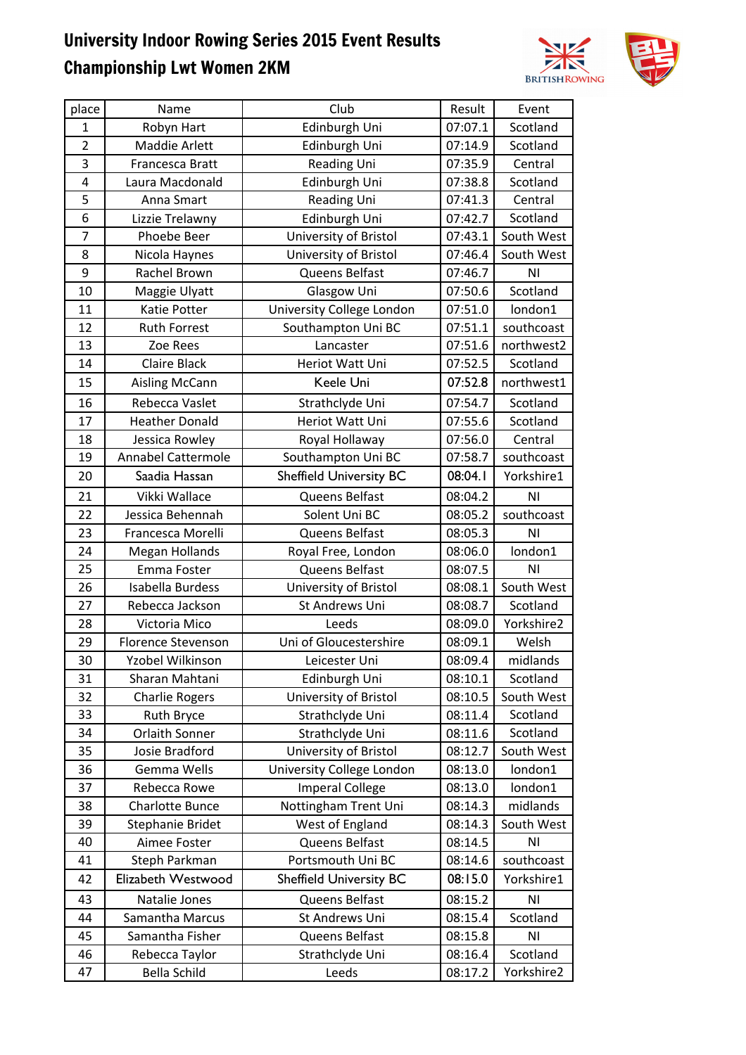## University Indoor Rowing Series 2015 Event Results Championship Lwt Women 2KM



| place          | Name                      | Club                           | Result  | Event          |
|----------------|---------------------------|--------------------------------|---------|----------------|
| $\mathbf{1}$   | Robyn Hart                | Edinburgh Uni                  | 07:07.1 | Scotland       |
| $\overline{2}$ | Maddie Arlett             | Edinburgh Uni                  | 07:14.9 | Scotland       |
| 3              | Francesca Bratt           | Reading Uni                    | 07:35.9 | Central        |
| 4              | Laura Macdonald           | Edinburgh Uni                  | 07:38.8 | Scotland       |
| 5              | Anna Smart                | <b>Reading Uni</b>             | 07:41.3 | Central        |
| 6              | Lizzie Trelawny           | Edinburgh Uni                  | 07:42.7 | Scotland       |
| 7              | Phoebe Beer               | University of Bristol          | 07:43.1 | South West     |
| 8              | Nicola Haynes             | University of Bristol          | 07:46.4 | South West     |
| 9              | Rachel Brown              | Queens Belfast                 | 07:46.7 | ΝI             |
| 10             | Maggie Ulyatt             | Glasgow Uni                    | 07:50.6 | Scotland       |
| 11             | Katie Potter              | University College London      | 07:51.0 | london1        |
| 12             | <b>Ruth Forrest</b>       | Southampton Uni BC             | 07:51.1 | southcoast     |
| 13             | Zoe Rees                  | Lancaster                      | 07:51.6 | northwest2     |
| 14             | <b>Claire Black</b>       | Heriot Watt Uni                | 07:52.5 | Scotland       |
| 15             | Aisling McCann            | Keele Uni                      | 07:52.8 | northwest1     |
| 16             | Rebecca Vaslet            | Strathclyde Uni                | 07:54.7 | Scotland       |
| 17             | <b>Heather Donald</b>     | Heriot Watt Uni                | 07:55.6 | Scotland       |
| 18             | Jessica Rowley            | Royal Hollaway                 | 07:56.0 | Central        |
| 19             | <b>Annabel Cattermole</b> | Southampton Uni BC             | 07:58.7 | southcoast     |
| 20             | Saadia Hassan             | <b>Sheffield University BC</b> | 08:04.1 | Yorkshire1     |
| 21             | Vikki Wallace             | Queens Belfast                 | 08:04.2 | N <sub>1</sub> |
| 22             | Jessica Behennah          | Solent Uni BC                  | 08:05.2 | southcoast     |
| 23             | Francesca Morelli         | Queens Belfast                 | 08:05.3 | N <sub>1</sub> |
| 24             | Megan Hollands            | Royal Free, London             | 08:06.0 | london1        |
| 25             | Emma Foster               | Queens Belfast                 | 08:07.5 | N <sub>1</sub> |
| 26             | Isabella Burdess          | University of Bristol          | 08:08.1 | South West     |
| 27             | Rebecca Jackson           | St Andrews Uni                 | 08:08.7 | Scotland       |
| 28             | Victoria Mico             | Leeds                          | 08:09.0 | Yorkshire2     |
| 29             | Florence Stevenson        | Uni of Gloucestershire         | 08:09.1 | Welsh          |
| 30             | Yzobel Wilkinson          | Leicester Uni                  | 08:09.4 | midlands       |
| 31             | Sharan Mahtani            | Edinburgh Uni                  | 08:10.1 | Scotland       |
| 32             | <b>Charlie Rogers</b>     | University of Bristol          | 08:10.5 | South West     |
| 33             | Ruth Bryce                | Strathclyde Uni                | 08:11.4 | Scotland       |
| 34             | Orlaith Sonner            | Strathclyde Uni                | 08:11.6 | Scotland       |
| 35             | Josie Bradford            | University of Bristol          | 08:12.7 | South West     |
| 36             | Gemma Wells               | University College London      | 08:13.0 | london1        |
| 37             | Rebecca Rowe              | <b>Imperal College</b>         | 08:13.0 | london1        |
| 38             | <b>Charlotte Bunce</b>    | Nottingham Trent Uni           | 08:14.3 | midlands       |
| 39             | Stephanie Bridet          | West of England                | 08:14.3 | South West     |
| 40             | Aimee Foster              | Queens Belfast                 | 08:14.5 | N <sub>1</sub> |
| 41             | Steph Parkman             | Portsmouth Uni BC              | 08:14.6 | southcoast     |
| 42             | Elizabeth Westwood        | <b>Sheffield University BC</b> | 08:15.0 | Yorkshire1     |
| 43             | Natalie Jones             | Queens Belfast                 | 08:15.2 | N <sub>1</sub> |
| 44             | Samantha Marcus           | St Andrews Uni                 | 08:15.4 | Scotland       |
| 45             | Samantha Fisher           | Queens Belfast                 | 08:15.8 | ΝI             |
| 46             | Rebecca Taylor            | Strathclyde Uni                | 08:16.4 | Scotland       |
| 47             | Bella Schild              | Leeds                          | 08:17.2 | Yorkshire2     |